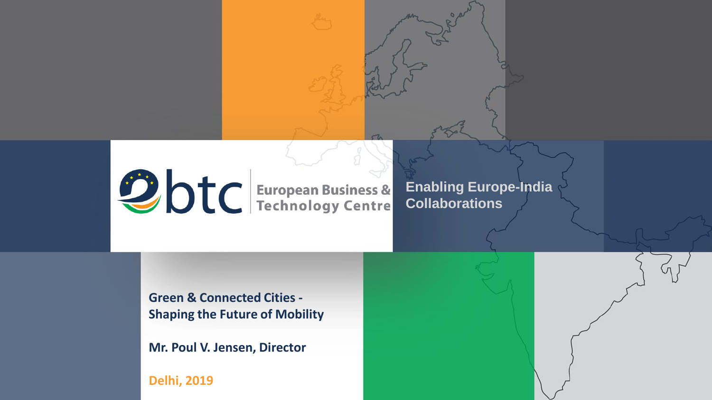Otc European Business &

**Enabling Europe-India Collaborations**

**Green & Connected Cities - Shaping the Future of Mobility**

**Mr. Poul V. Jensen, Director** 

**Delhi, 2019**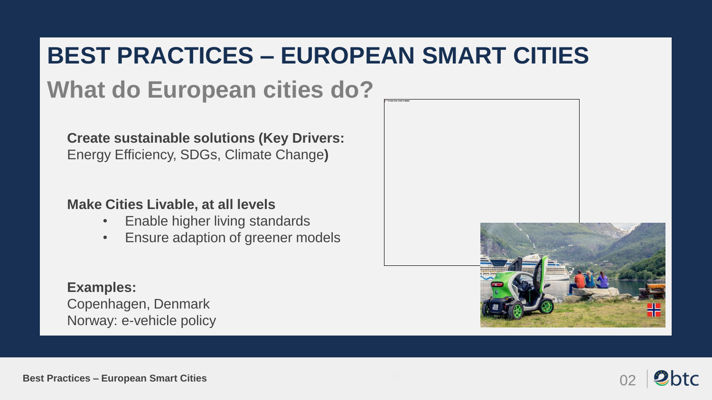### **BEST PRACTICES – EUROPEAN SMART CITIES**

## **What do European cities do?**

**Create sustainable solutions (Key Drivers:**  Energy Efficiency, SDGs, Climate Change**)**

#### **Make Cities Livable, at all levels**

- Enable higher living standards
- Ensure adaption of greener models

#### **Examples:**

Copenhagen, Denmark Norway: e-vehicle policy



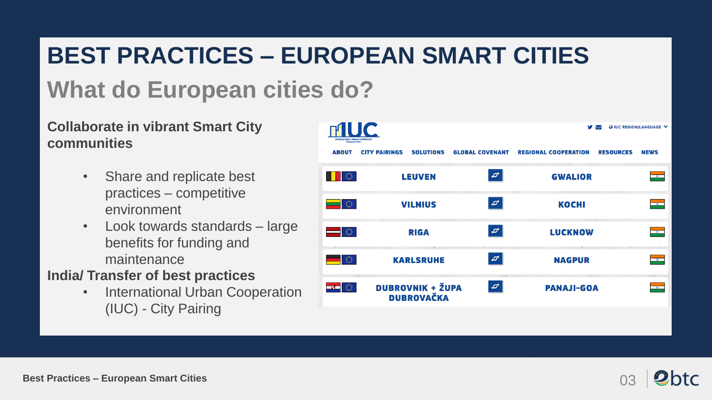### **BEST PRACTICES – EUROPEAN SMART CITIES**

## **What do European cities do?**

#### **Collaborate in vibrant Smart City communities**

- Share and replicate best practices – competitive environment
- Look towards standards large benefits for funding and maintenance

### **India/ Transfer of best practices**

• International Urban Cooperation (IUC) - City Pairing



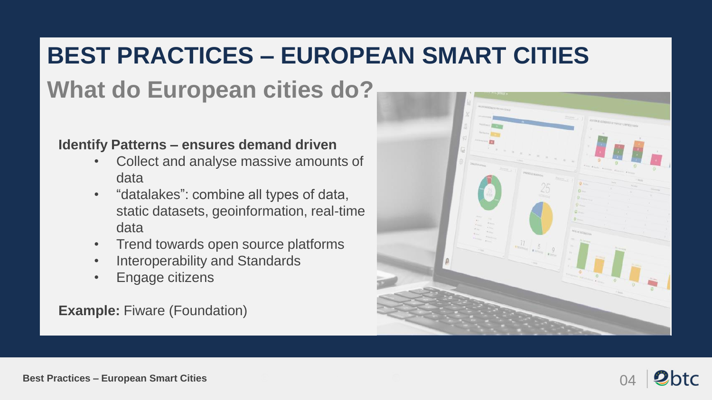### **BEST PRACTICES – EUROPEAN SMART CITIES**

# **What do European cities do?**

#### **Identify Patterns – ensures demand driven**

- Collect and analyse massive amounts of data
- "datalakes": combine all types of data, static datasets, geoinformation, real-time data
- Trend towards open source platforms
- Interoperability and Standards
- Engage citizens

**Example: Fiware (Foundation)** 





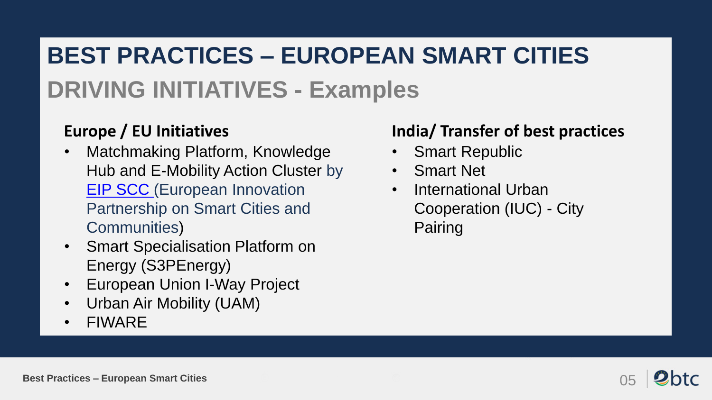# **BEST PRACTICES – EUROPEAN SMART CITIES DRIVING INITIATIVES - Examples**

### **Europe / EU Initiatives**

- Matchmaking Platform, Knowledge Hub and E-Mobility Action Cluster by [EIP SCC](https://eu-smartcities.eu/) (European Innovation Partnership on Smart Cities and Communities)
- Smart Specialisation Platform on Energy (S3PEnergy)
- European Union I-Way Project
- Urban Air Mobility (UAM)
- FIWARE

### **India/ Transfer of best practices**

- Smart Republic
- Smart Net
- International Urban Cooperation (IUC) - City Pairing

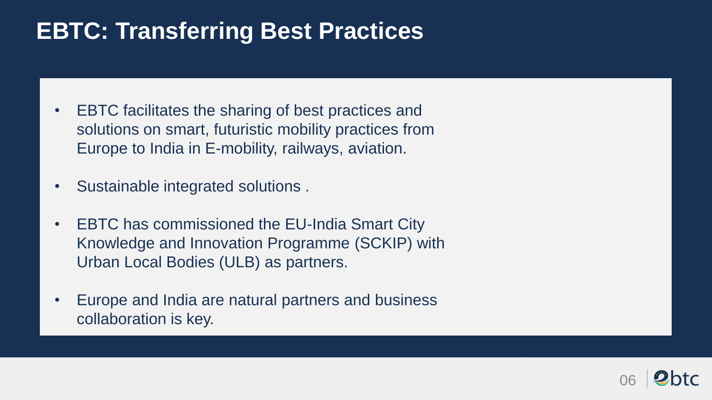## **EBTC: Transferring Best Practices**

- EBTC facilitates the sharing of best practices and solutions on smart, futuristic mobility practices from Europe to India in E-mobility, railways, aviation.
- Sustainable integrated solutions .
- EBTC has commissioned the EU-India Smart City Knowledge and Innovation Programme (SCKIP) with Urban Local Bodies (ULB) as partners.
- Europe and India are natural partners and business collaboration is key.

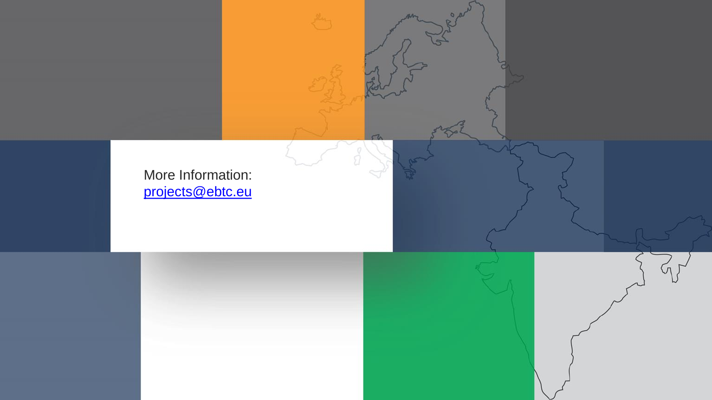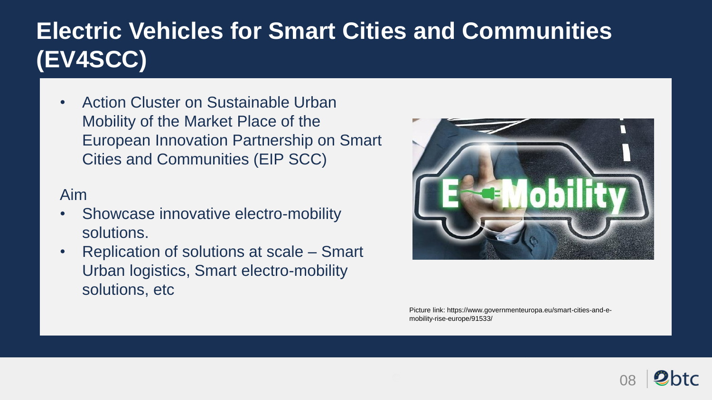## **Electric Vehicles for Smart Cities and Communities (EV4SCC)**

• Action Cluster on Sustainable Urban Mobility of the Market Place of the European Innovation Partnership on Smart Cities and Communities (EIP SCC)

#### Aim

- Showcase innovative electro-mobility solutions.
- Replication of solutions at scale Smart Urban logistics, Smart electro-mobility solutions, etc



Picture link: https://www.governmenteuropa.eu/smart-cities-and-emobility-rise-europe/91533/

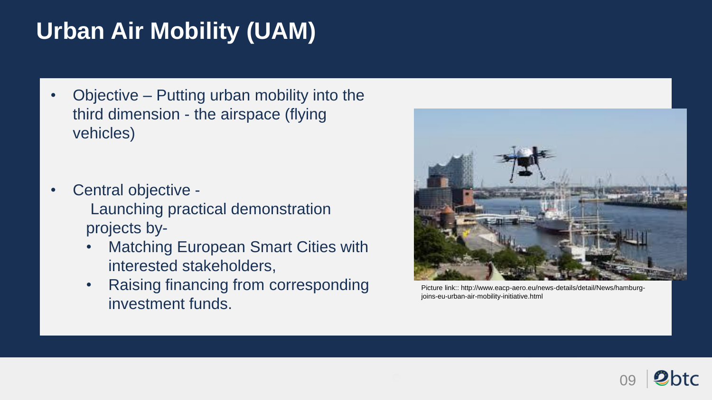# **Urban Air Mobility (UAM)**

- Objective Putting urban mobility into the third dimension - the airspace (flying vehicles)
- Central objective Launching practical demonstration projects by-
	- **Matching European Smart Cities with** interested stakeholders,
	- Raising financing from corresponding investment funds.



Picture link:: http://www.eacp-aero.eu/news-details/detail/News/hamburgjoins-eu-urban-air-mobility-initiative.html